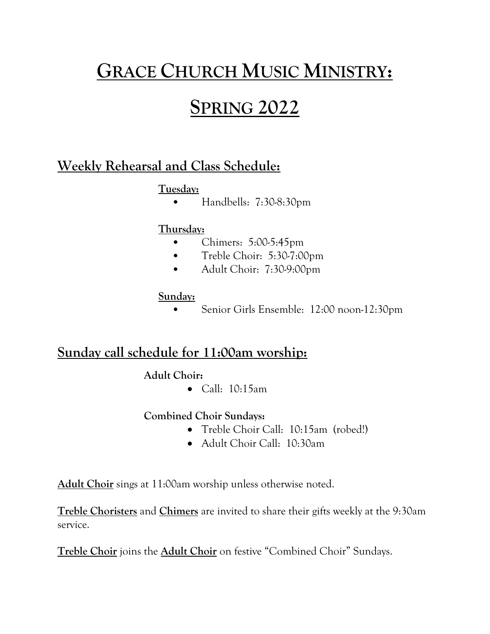# **GRACE CHURCH MUSIC MINISTRY:**

## **SPRING 2022**

## **Weekly Rehearsal and Class Schedule:**

#### **Tuesday:**

• Handbells: 7:30-8:30pm

#### **Thursday:**

- Chimers: 5:00-5:45pm
- Treble Choir: 5:30-7:00pm
- Adult Choir: 7:30-9:00pm

#### **Sunday:**

• Senior Girls Ensemble: 12:00 noon-12:30pm

### **Sunday call schedule for 11:00am worship:**

#### **Adult Choir:**

Call: 10:15am

#### **Combined Choir Sundays:**

- Treble Choir Call: 10:15am (robed!)
- Adult Choir Call: 10:30am

**Adult Choir** sings at 11:00am worship unless otherwise noted.

**Treble Choristers** and **Chimers** are invited to share their gifts weekly at the 9:30am service.

**Treble Choir** joins the **Adult Choir** on festive "Combined Choir" Sundays.